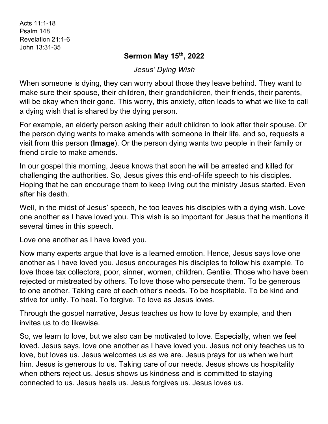Acts 11:1-18 Psalm 148 Revelation 21:1-6 John 13:31-35

## **Sermon May 15th, 2022**

*Jesus' Dying Wish*

When someone is dying, they can worry about those they leave behind. They want to make sure their spouse, their children, their grandchildren, their friends, their parents, will be okay when their gone. This worry, this anxiety, often leads to what we like to call a dying wish that is shared by the dying person.

For example, an elderly person asking their adult children to look after their spouse. Or the person dying wants to make amends with someone in their life, and so, requests a visit from this person (**Image**). Or the person dying wants two people in their family or friend circle to make amends.

In our gospel this morning, Jesus knows that soon he will be arrested and killed for challenging the authorities. So, Jesus gives this end-of-life speech to his disciples. Hoping that he can encourage them to keep living out the ministry Jesus started. Even after his death.

Well, in the midst of Jesus' speech, he too leaves his disciples with a dying wish. Love one another as I have loved you. This wish is so important for Jesus that he mentions it several times in this speech.

Love one another as I have loved you.

Now many experts argue that love is a learned emotion. Hence, Jesus says love one another as I have loved you. Jesus encourages his disciples to follow his example. To love those tax collectors, poor, sinner, women, children, Gentile. Those who have been rejected or mistreated by others. To love those who persecute them. To be generous to one another. Taking care of each other's needs. To be hospitable. To be kind and strive for unity. To heal. To forgive. To love as Jesus loves.

Through the gospel narrative, Jesus teaches us how to love by example, and then invites us to do likewise.

So, we learn to love, but we also can be motivated to love. Especially, when we feel loved. Jesus says, love one another as I have loved you. Jesus not only teaches us to love, but loves us. Jesus welcomes us as we are. Jesus prays for us when we hurt him. Jesus is generous to us. Taking care of our needs. Jesus shows us hospitality when others reject us. Jesus shows us kindness and is committed to staying connected to us. Jesus heals us. Jesus forgives us. Jesus loves us.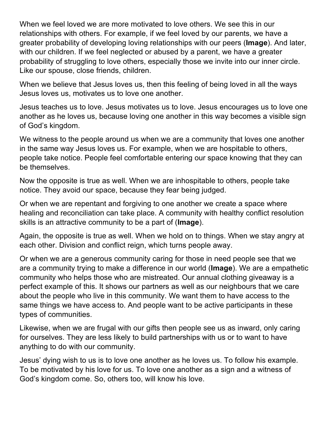When we feel loved we are more motivated to love others. We see this in our relationships with others. For example, if we feel loved by our parents, we have a greater probability of developing loving relationships with our peers (**Image**). And later, with our children. If we feel neglected or abused by a parent, we have a greater probability of struggling to love others, especially those we invite into our inner circle. Like our spouse, close friends, children.

When we believe that Jesus loves us, then this feeling of being loved in all the ways Jesus loves us, motivates us to love one another.

Jesus teaches us to love. Jesus motivates us to love. Jesus encourages us to love one another as he loves us, because loving one another in this way becomes a visible sign of God's kingdom.

We witness to the people around us when we are a community that loves one another in the same way Jesus loves us. For example, when we are hospitable to others, people take notice. People feel comfortable entering our space knowing that they can be themselves.

Now the opposite is true as well. When we are inhospitable to others, people take notice. They avoid our space, because they fear being judged.

Or when we are repentant and forgiving to one another we create a space where healing and reconciliation can take place. A community with healthy conflict resolution skills is an attractive community to be a part of (**Image**).

Again, the opposite is true as well. When we hold on to things. When we stay angry at each other. Division and conflict reign, which turns people away.

Or when we are a generous community caring for those in need people see that we are a community trying to make a difference in our world (**Image**). We are a empathetic community who helps those who are mistreated. Our annual clothing giveaway is a perfect example of this. It shows our partners as well as our neighbours that we care about the people who live in this community. We want them to have access to the same things we have access to. And people want to be active participants in these types of communities.

Likewise, when we are frugal with our gifts then people see us as inward, only caring for ourselves. They are less likely to build partnerships with us or to want to have anything to do with our community.

Jesus' dying wish to us is to love one another as he loves us. To follow his example. To be motivated by his love for us. To love one another as a sign and a witness of God's kingdom come. So, others too, will know his love.